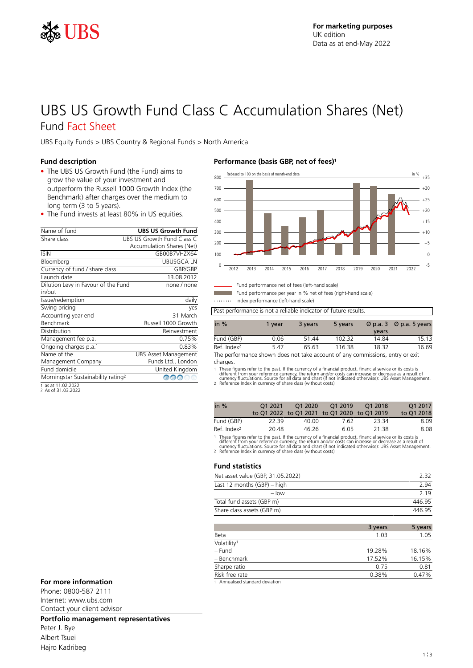

# UBS US Growth Fund Class C Accumulation Shares (Net) Fund Fact Sheet

UBS Equity Funds > UBS Country & Regional Funds > North America

### **Fund description**

- The UBS US Growth Fund (the Fund) aims to grow the value of your investment and outperform the Russell 1000 Growth Index (the Benchmark) after charges over the medium to long term (3 to 5 years).
- The Fund invests at least 80% in US equities.

| Name of fund                                   | <b>UBS US Growth Fund</b>   |
|------------------------------------------------|-----------------------------|
| Share class                                    | UBS US Growth Fund Class C  |
|                                                | Accumulation Shares (Net)   |
| <b>ISIN</b>                                    | GB00B7VH7X64                |
| Bloomberg                                      | UBUSGCA I N                 |
| Currency of fund / share class                 | GBP/GBP                     |
| Launch date                                    | 13.08.2012                  |
| Dilution Levy in Favour of the Fund            | none / none                 |
| in/out                                         |                             |
| Issue/redemption                               | daily                       |
| Swing pricing                                  | yes                         |
| Accounting year end                            | 31 March                    |
| <b>Benchmark</b>                               | Russell 1000 Growth         |
| Distribution                                   | Reinvestment                |
| Management fee p.a.                            | 0.75%                       |
| Ongoing charges p.a. <sup>1</sup>              | 0.83%                       |
| Name of the                                    | <b>UBS Asset Management</b> |
| Management Company                             | Funds Ltd., London          |
| Fund domicile                                  | United Kingdom              |
| Morningstar Sustainability rating <sup>2</sup> | ⊕<br>⊕                      |
| 1.11100000                                     |                             |

1 as at 11.02.2022 2 As of 31.03.2022

### **Performance (basis GBP, net of fees)<sup>1</sup>** Rebased to 100 on the basis of month-end data



Fund performance net of fees (left-hand scale)

Fund performance per year in % net of fees (right-hand scale) Index performance (left-hand scale)

| in $%$                  | 1 vear | 3 years | 5 years | years | $\varnothing$ p.a. 3 $\varnothing$ p.a. 5 years |
|-------------------------|--------|---------|---------|-------|-------------------------------------------------|
| Fund (GBP)              | 0.06   | 51.44   | 102 32  | 14 84 | 15 13                                           |
| Ref. Index <sup>2</sup> | 5.47   | 65.63   | 116.38  | 18.32 | 16.69                                           |

The performance shown does not take account of any commissions, entry or exit charges.

1 These figures refer to the past. If the currency of a financial product, financial service or its costs is<br>different from your reference currency, the return and/or costs can increase or decrease as a result of<br>currency

| in $%$                  | 01 2021 | O1 2020 | O1 2019<br>to Q1 2022 to Q1 2021 to Q1 2020 to Q1 2019 | O1 2018 | O1 2017<br>to Q1 2018 |
|-------------------------|---------|---------|--------------------------------------------------------|---------|-----------------------|
| Fund (GBP)              | 22.39   | 40.OO   | 7.62                                                   | 23.34   | 8.09                  |
| Ref. Index <sup>2</sup> | 20.48   | 46 26   | 605                                                    | 21 38   | 8.08                  |

1 These figures refer to the past. If the currency of a financial product, financial service or its costs is<br>different from your reference currency, the return and/or costs can increase or decrease as a result of<br>currency

### **Fund statistics**

| Net asset value (GBP, 31.05.2022) | 232    |
|-----------------------------------|--------|
| Last 12 months (GBP) – high       | 294    |
| $-$ low                           | 2 1 9  |
| Total fund assets (GBP m)         | 446 95 |
| Share class assets (GBP m)        | 446 95 |

|                         | 3 years | 5 years |
|-------------------------|---------|---------|
| Beta                    | 1.03    | 1.05    |
| Volatility <sup>1</sup> |         |         |
| – Fund                  | 19.28%  | 18.16%  |
| - Benchmark             | 17.52%  | 16.15%  |
| Sharpe ratio            | 0.75    | 0.81    |
| Risk free rate          | 0.38%   | 0.47%   |
| .                       |         |         |

### **For more information** 1 **1 1** Annualised standard deviation

Phone: 0800-587 2111 Internet: www.ubs.com Contact your client advisor

### **Portfolio management representatives**

Peter J. Bye Albert Tsuei Hajro Kadribeg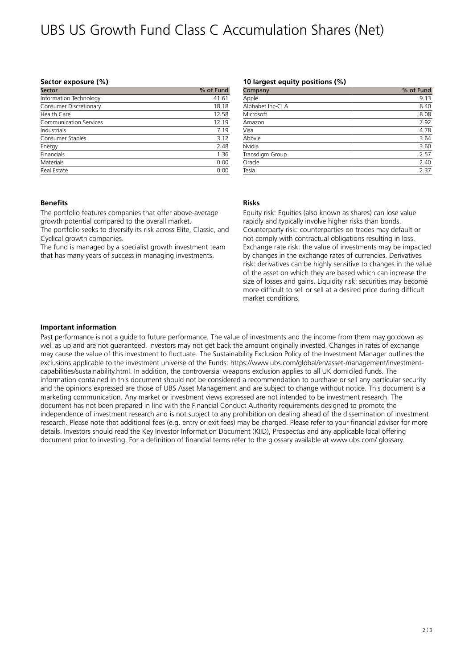# UBS US Growth Fund Class C Accumulation Shares (Net)

### **Sector exposure (%)**

| Sector                 | % of Fund |
|------------------------|-----------|
| Information Technology | 41.61     |
| Consumer Discretionary | 18.18     |
| Health Care            | 12.58     |
| Communication Services | 12.19     |
| Industrials            | 7.19      |
| Consumer Staples       | 3.12      |
| Energy                 | 2.48      |
| Financials             | 1.36      |
| Materials              | 0.00      |
| Real Estate            | 0.00      |

### **10 largest equity positions (%)**

| Company           | % of Fund |
|-------------------|-----------|
| Apple             | 9.13      |
| Alphabet Inc-Cl A | 8.40      |
| Microsoft         | 8.08      |
| Amazon            | 7.92      |
| Visa              | 4.78      |
| Abbvie            | 3.64      |
| Nvidia            | 3.60      |
| Transdigm Group   | 2.57      |
| Oracle            | 2.40      |
| Tesla             | 2.37      |

### **Benefits**

The portfolio features companies that offer above-average growth potential compared to the overall market.

The portfolio seeks to diversify its risk across Elite, Classic, and Cyclical growth companies.

The fund is managed by a specialist growth investment team that has many years of success in managing investments.

## **Risks**

Equity risk: Equities (also known as shares) can lose value rapidly and typically involve higher risks than bonds. Counterparty risk: counterparties on trades may default or not comply with contractual obligations resulting in loss. Exchange rate risk: the value of investments may be impacted by changes in the exchange rates of currencies. Derivatives risk: derivatives can be highly sensitive to changes in the value of the asset on which they are based which can increase the size of losses and gains. Liquidity risk: securities may become more difficult to sell or sell at a desired price during difficult market conditions.

### **Important information**

Past performance is not a guide to future performance. The value of investments and the income from them may go down as well as up and are not guaranteed. Investors may not get back the amount originally invested. Changes in rates of exchange may cause the value of this investment to fluctuate. The Sustainability Exclusion Policy of the Investment Manager outlines the exclusions applicable to the investment universe of the Funds: https://www.ubs.com/global/en/asset-management/investmentcapabilities/sustainability.html. In addition, the controversial weapons exclusion applies to all UK domiciled funds. The information contained in this document should not be considered a recommendation to purchase or sell any particular security and the opinions expressed are those of UBS Asset Management and are subject to change without notice. This document is a marketing communication. Any market or investment views expressed are not intended to be investment research. The document has not been prepared in line with the Financial Conduct Authority requirements designed to promote the independence of investment research and is not subject to any prohibition on dealing ahead of the dissemination of investment research. Please note that additional fees (e.g. entry or exit fees) may be charged. Please refer to your financial adviser for more details. Investors should read the Key Investor Information Document (KIID), Prospectus and any applicable local offering document prior to investing. For a definition of financial terms refer to the glossary available at www.ubs.com/ glossary.